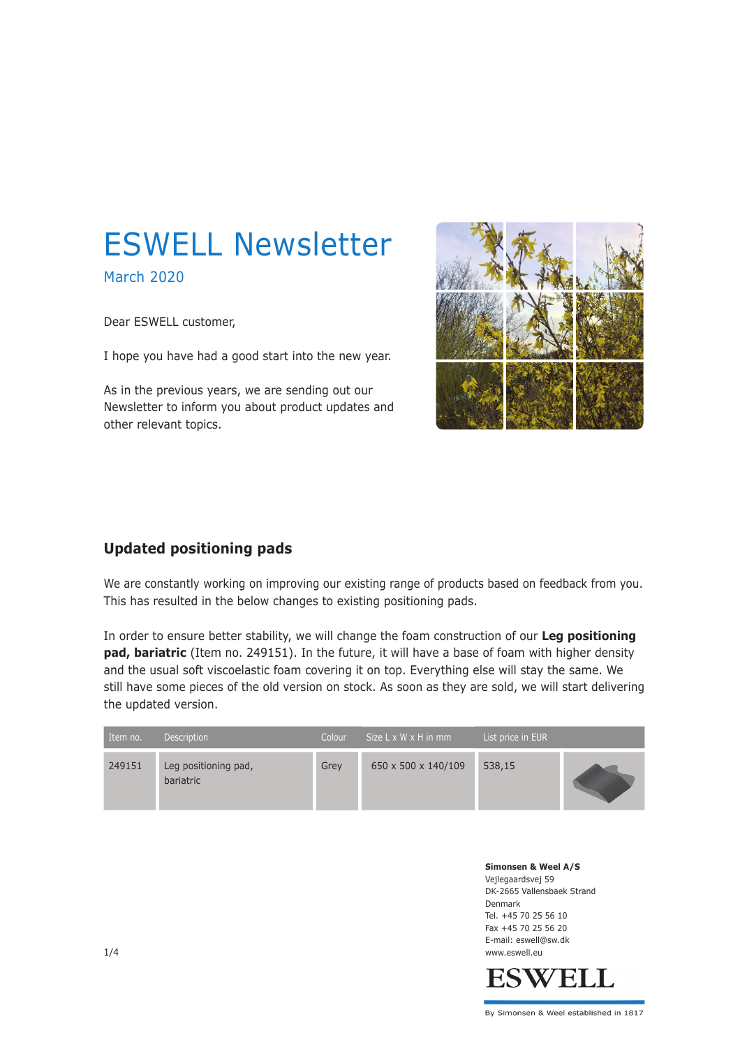# ESWELL Newsletter

March 2020

Dear ESWELL customer,

I hope you have had a good start into the new year.

As in the previous years, we are sending out our Newsletter to inform you about product updates and other relevant topics.



#### **Updated positioning pads**

We are constantly working on improving our existing range of products based on feedback from you. This has resulted in the below changes to existing positioning pads.

In order to ensure better stability, we will change the foam construction of our **Leg positioning pad, bariatric** (Item no. 249151). In the future, it will have a base of foam with higher density and the usual soft viscoelastic foam covering it on top. Everything else will stay the same. We still have some pieces of the old version on stock. As soon as they are sold, we will start delivering the updated version.

| Item no. | <b>Description</b>                | Colour | Size $L \times W \times H$ in mm | List price in EUR |  |
|----------|-----------------------------------|--------|----------------------------------|-------------------|--|
| 249151   | Leg positioning pad,<br>bariatric | Grey   | 650 x 500 x 140/109              | 538,15            |  |

**Simonsen & Weel A/S** Vejlegaardsvej 59 DK-2665 Vallensbaek Strand Denmark Tel. +45 70 25 56 10 Fax +45 70 25 56 20 E-mail: eswell@sw.dk 1/4 www.eswell.eu

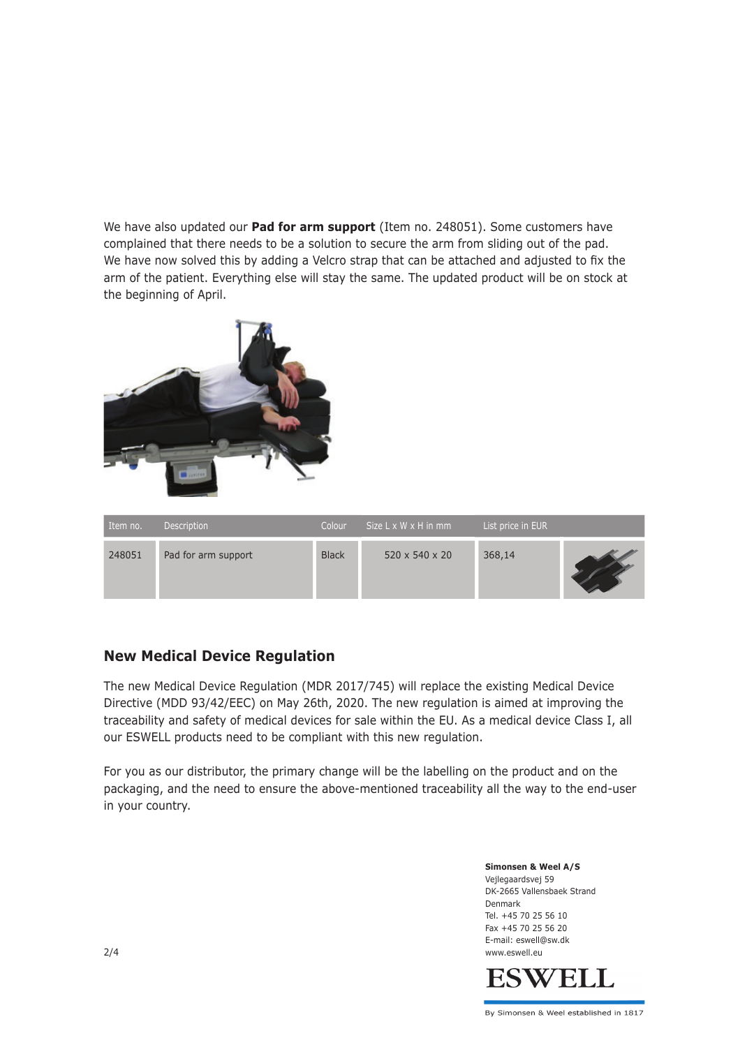We have also updated our **Pad for arm support** (Item no. 248051). Some customers have complained that there needs to be a solution to secure the arm from sliding out of the pad. We have now solved this by adding a Velcro strap that can be attached and adjusted to fix the arm of the patient. Everything else will stay the same. The updated product will be on stock at the beginning of April.



| Item no. | Description         | Colour       | Size $L \times W \times H$ in mm | List price in EUR |  |
|----------|---------------------|--------------|----------------------------------|-------------------|--|
| 248051   | Pad for arm support | <b>Black</b> | 520 x 540 x 20                   | 368,14            |  |

### **New Medical Device Regulation**

The new Medical Device Regulation (MDR 2017/745) will replace the existing Medical Device Directive (MDD 93/42/EEC) on May 26th, 2020. The new regulation is aimed at improving the traceability and safety of medical devices for sale within the EU. As a medical device Class I, all our ESWELL products need to be compliant with this new regulation.

For you as our distributor, the primary change will be the labelling on the product and on the packaging, and the need to ensure the above-mentioned traceability all the way to the end-user in your country.

**Simonsen & Weel A/S** Vejlegaardsvej 59 DK-2665 Vallensbaek Strand Denmark Tel. +45 70 25 56 10 Fax +45 70 25 56 20 E-mail: eswell@sw.dk 2/4 www.eswell.eu

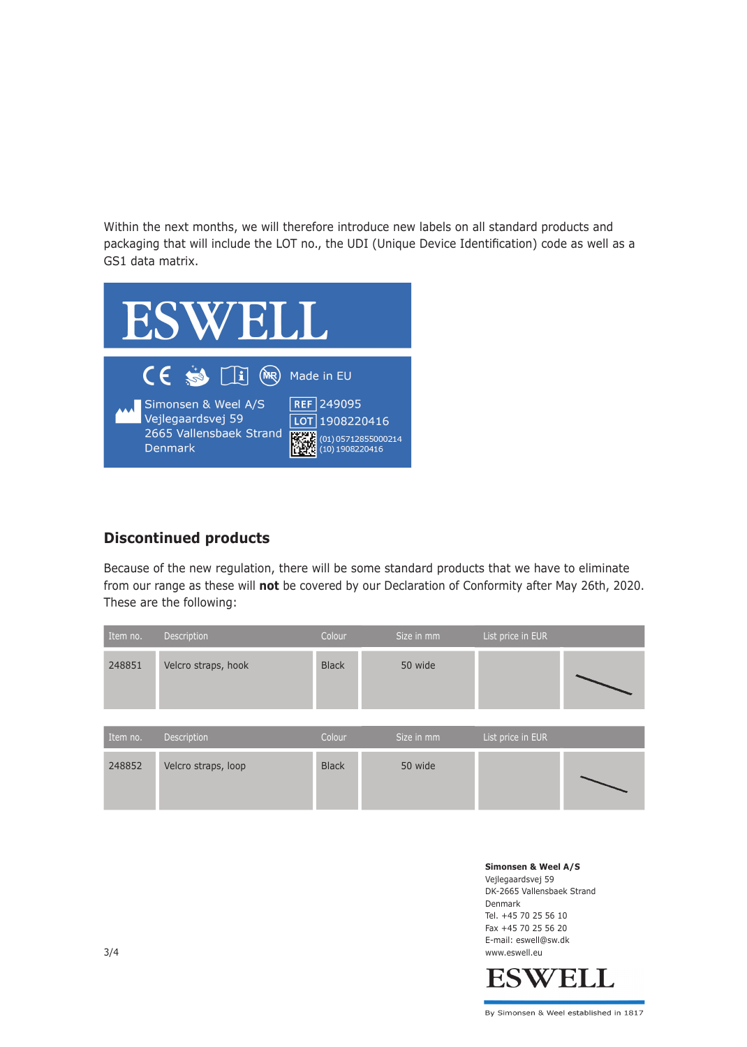Within the next months, we will therefore introduce new labels on all standard products and packaging that will include the LOT no., the UDI (Unique Device Identification) code as well as a GS1 data matrix.



## **Discontinued products**

Because of the new regulation, there will be some standard products that we have to eliminate from our range as these will **not** be covered by our Declaration of Conformity after May 26th, 2020. These are the following:

| Item no. | Description         | Colour       | Size in mm | List price in EUR |  |
|----------|---------------------|--------------|------------|-------------------|--|
| 248851   | Velcro straps, hook | <b>Black</b> | 50 wide    |                   |  |
|          |                     |              |            |                   |  |
| Item no. | Description         | Colour       | Size in mm | List price in EUR |  |
| 248852   | Velcro straps, loop | <b>Black</b> | 50 wide    |                   |  |

**Simonsen & Weel A/S** Vejlegaardsvej 59 DK-2665 Vallensbaek Strand Denmark Tel. +45 70 25 56 10 Fax +45 70 25 56 20 E-mail: eswell@sw.dk www.eswell.eu



By Simonsen & Weel established in 1817